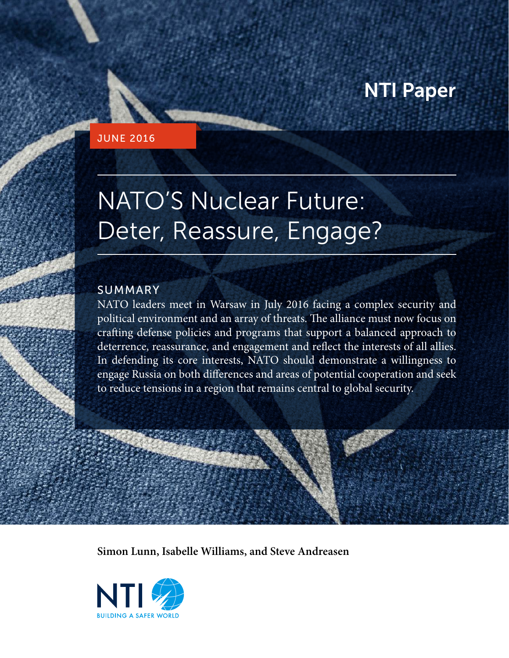### NTI Paper

#### JUNE 2016

# NATO'S Nuclear Future: Deter, Reassure, Engage?

#### SUMMARY

NATO leaders meet in Warsaw in July 2016 facing a complex security and political environment and an array of threats. The alliance must now focus on crafting defense policies and programs that support a balanced approach to deterrence, reassurance, and engagement and reflect the interests of all allies. In defending its core interests, NATO should demonstrate a willingness to engage Russia on both differences and areas of potential cooperation and seek to reduce tensions in a region that remains central to global security.

**Simon Lunn, Isabelle Williams, and Steve Andreasen**

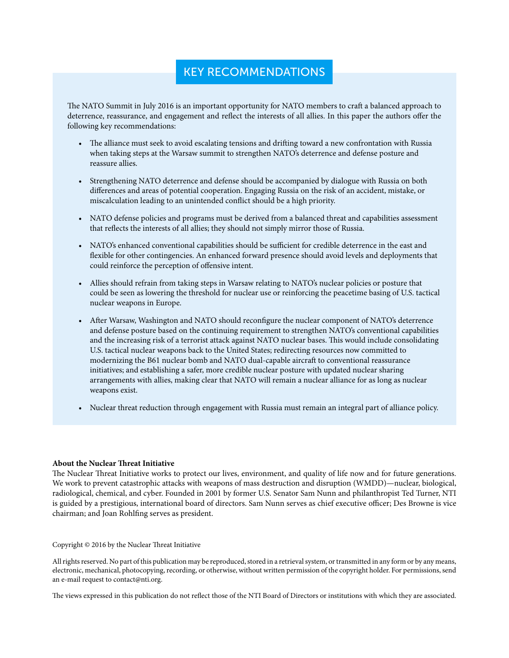#### KEY RECOMMENDATIONS

The NATO Summit in July 2016 is an important opportunity for NATO members to craft a balanced approach to deterrence, reassurance, and engagement and reflect the interests of all allies. In this paper the authors offer the following key recommendations:

- The alliance must seek to avoid escalating tensions and drifting toward a new confrontation with Russia when taking steps at the Warsaw summit to strengthen NATO's deterrence and defense posture and reassure allies.
- Strengthening NATO deterrence and defense should be accompanied by dialogue with Russia on both differences and areas of potential cooperation. Engaging Russia on the risk of an accident, mistake, or miscalculation leading to an unintended conflict should be a high priority.
- NATO defense policies and programs must be derived from a balanced threat and capabilities assessment that reflects the interests of all allies; they should not simply mirror those of Russia.
- NATO's enhanced conventional capabilities should be sufficient for credible deterrence in the east and flexible for other contingencies. An enhanced forward presence should avoid levels and deployments that could reinforce the perception of offensive intent.
- Allies should refrain from taking steps in Warsaw relating to NATO's nuclear policies or posture that could be seen as lowering the threshold for nuclear use or reinforcing the peacetime basing of U.S. tactical nuclear weapons in Europe.
- After Warsaw, Washington and NATO should reconfigure the nuclear component of NATO's deterrence and defense posture based on the continuing requirement to strengthen NATO's conventional capabilities and the increasing risk of a terrorist attack against NATO nuclear bases. This would include consolidating U.S. tactical nuclear weapons back to the United States; redirecting resources now committed to modernizing the B61 nuclear bomb and NATO dual-capable aircraft to conventional reassurance initiatives; and establishing a safer, more credible nuclear posture with updated nuclear sharing arrangements with allies, making clear that NATO will remain a nuclear alliance for as long as nuclear weapons exist.
- Nuclear threat reduction through engagement with Russia must remain an integral part of alliance policy.

#### **About the Nuclear Threat Initiative**

The Nuclear Threat Initiative works to protect our lives, environment, and quality of life now and for future generations. We work to prevent catastrophic attacks with weapons of mass destruction and disruption (WMDD)—nuclear, biological, radiological, chemical, and cyber. Founded in 2001 by former U.S. Senator Sam Nunn and philanthropist Ted Turner, NTI is guided by a prestigious, international board of directors. Sam Nunn serves as chief executive officer; Des Browne is vice chairman; and Joan Rohlfing serves as president.

Copyright © 2016 by the Nuclear Threat Initiative

All rights reserved. No part of this publication may be reproduced, stored in a retrieval system, or transmitted in any form or by any means, electronic, mechanical, photocopying, recording, or otherwise, without written permission of the copyright holder. For permissions, send an e-mail request to contact@nti.org.

The views expressed in this publication do not reflect those of the NTI Board of Directors or institutions with which they are associated.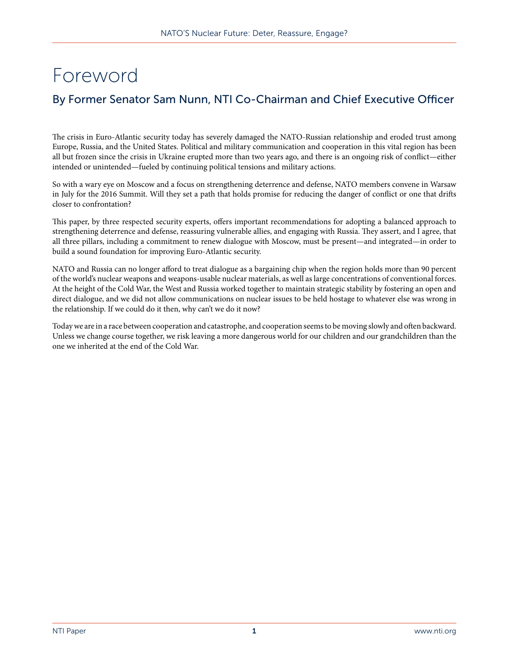### Foreword

#### By Former Senator Sam Nunn, NTI Co-Chairman and Chief Executive Officer

The crisis in Euro-Atlantic security today has severely damaged the NATO-Russian relationship and eroded trust among Europe, Russia, and the United States. Political and military communication and cooperation in this vital region has been all but frozen since the crisis in Ukraine erupted more than two years ago, and there is an ongoing risk of conflict—either intended or unintended—fueled by continuing political tensions and military actions.

So with a wary eye on Moscow and a focus on strengthening deterrence and defense, NATO members convene in Warsaw in July for the 2016 Summit. Will they set a path that holds promise for reducing the danger of conflict or one that drifts closer to confrontation?

This paper, by three respected security experts, offers important recommendations for adopting a balanced approach to strengthening deterrence and defense, reassuring vulnerable allies, and engaging with Russia. They assert, and I agree, that all three pillars, including a commitment to renew dialogue with Moscow, must be present—and integrated—in order to build a sound foundation for improving Euro-Atlantic security.

NATO and Russia can no longer afford to treat dialogue as a bargaining chip when the region holds more than 90 percent of the world's nuclear weapons and weapons-usable nuclear materials, as well as large concentrations of conventional forces. At the height of the Cold War, the West and Russia worked together to maintain strategic stability by fostering an open and direct dialogue, and we did not allow communications on nuclear issues to be held hostage to whatever else was wrong in the relationship. If we could do it then, why can't we do it now?

Today we are in a race between cooperation and catastrophe, and cooperation seems to be moving slowly and often backward. Unless we change course together, we risk leaving a more dangerous world for our children and our grandchildren than the one we inherited at the end of the Cold War.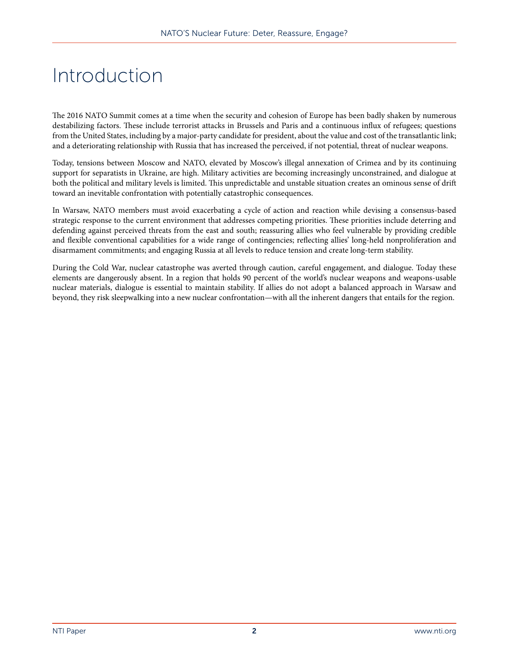### Introduction

The 2016 NATO Summit comes at a time when the security and cohesion of Europe has been badly shaken by numerous destabilizing factors. These include terrorist attacks in Brussels and Paris and a continuous influx of refugees; questions from the United States, including by a major-party candidate for president, about the value and cost of the transatlantic link; and a deteriorating relationship with Russia that has increased the perceived, if not potential, threat of nuclear weapons.

Today, tensions between Moscow and NATO, elevated by Moscow's illegal annexation of Crimea and by its continuing support for separatists in Ukraine, are high. Military activities are becoming increasingly unconstrained, and dialogue at both the political and military levels is limited. This unpredictable and unstable situation creates an ominous sense of drift toward an inevitable confrontation with potentially catastrophic consequences.

In Warsaw, NATO members must avoid exacerbating a cycle of action and reaction while devising a consensus-based strategic response to the current environment that addresses competing priorities. These priorities include deterring and defending against perceived threats from the east and south; reassuring allies who feel vulnerable by providing credible and flexible conventional capabilities for a wide range of contingencies; reflecting allies' long-held nonproliferation and disarmament commitments; and engaging Russia at all levels to reduce tension and create long-term stability.

During the Cold War, nuclear catastrophe was averted through caution, careful engagement, and dialogue. Today these elements are dangerously absent. In a region that holds 90 percent of the world's nuclear weapons and weapons-usable nuclear materials, dialogue is essential to maintain stability. If allies do not adopt a balanced approach in Warsaw and beyond, they risk sleepwalking into a new nuclear confrontation—with all the inherent dangers that entails for the region.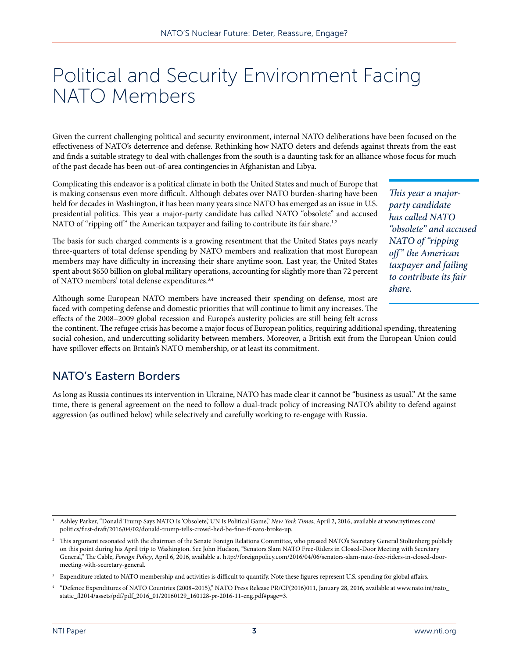### Political and Security Environment Facing NATO Members

Given the current challenging political and security environment, internal NATO deliberations have been focused on the effectiveness of NATO's deterrence and defense. Rethinking how NATO deters and defends against threats from the east and finds a suitable strategy to deal with challenges from the south is a daunting task for an alliance whose focus for much of the past decade has been out-of-area contingencies in Afghanistan and Libya.

Complicating this endeavor is a political climate in both the United States and much of Europe that is making consensus even more difficult. Although debates over NATO burden-sharing have been held for decades in Washington, it has been many years since NATO has emerged as an issue in U.S. presidential politics. This year a major-party candidate has called NATO "obsolete" and accused NATO of "ripping off" the American taxpayer and failing to contribute its fair share.<sup>1,2</sup>

The basis for such charged comments is a growing resentment that the United States pays nearly three-quarters of total defense spending by NATO members and realization that most European members may have difficulty in increasing their share anytime soon. Last year, the United States spent about \$650 billion on global military operations, accounting for slightly more than 72 percent of NATO members' total defense expenditures.3,4

*This year a majorparty candidate has called NATO "obsolete" and accused NATO of "ripping off " the American taxpayer and failing to contribute its fair share.*

Although some European NATO members have increased their spending on defense, most are faced with competing defense and domestic priorities that will continue to limit any increases. The effects of the 2008–2009 global recession and Europe's austerity policies are still being felt across

the continent. The refugee crisis has become a major focus of European politics, requiring additional spending, threatening social cohesion, and undercutting solidarity between members. Moreover, a British exit from the European Union could have spillover effects on Britain's NATO membership, or at least its commitment.

#### NATO's Eastern Borders

As long as Russia continues its intervention in Ukraine, NATO has made clear it cannot be "business as usual." At the same time, there is general agreement on the need to follow a dual-track policy of increasing NATO's ability to defend against aggression (as outlined below) while selectively and carefully working to re-engage with Russia.

<sup>1</sup> Ashley Parker, "Donald Trump Says NATO Is 'Obsolete,' UN Is Political Game," *New York Times*, April 2, 2016, available at [www.nytimes.com/](www.nytimes.com/politics/first-draft/2016/04/02/donald-trump-tells-crowd-hed-be-fine-if-nato-broke-up) [politics/first-draft/2016/04/02/donald-trump-tells-crowd-hed-be-fine-if-nato-broke-up](www.nytimes.com/politics/first-draft/2016/04/02/donald-trump-tells-crowd-hed-be-fine-if-nato-broke-up).

<sup>2</sup> This argument resonated with the chairman of the Senate Foreign Relations Committee, who pressed NATO's Secretary General Stoltenberg publicly on this point during his April trip to Washington. See John Hudson, "Senators Slam NATO Free-Riders in Closed-Door Meeting with Secretary General," The Cable, *Foreign Policy*, April 6, 2016, available at [http://foreignpolicy.com/2016/04/06/senators-slam-nato-free-riders-in-closed-door](http://foreignpolicy.com/2016/04/06/senators-slam-nato-free-riders-in-closed-door-meeting-with-secretary-general)[meeting-with-secretary-general](http://foreignpolicy.com/2016/04/06/senators-slam-nato-free-riders-in-closed-door-meeting-with-secretary-general).

Expenditure related to NATO membership and activities is difficult to quantify. Note these figures represent U.S. spending for global affairs.

<sup>4</sup> "Defence Expenditures of NATO Countries (2008–2015)," NATO Press Release PR/CP(2016)011, January 28, 2016, available at [www.nato.int/nato\\_](www.nato.int/nato_static_fl2014/assets/pdf/pdf_2016_01/20160129_160128-pr-2016-11-eng.pdf#page=3) [static\\_fl2014/assets/pdf/pdf\\_2016\\_01/20160129\\_160128-pr-2016-11-eng.pdf#page=3](www.nato.int/nato_static_fl2014/assets/pdf/pdf_2016_01/20160129_160128-pr-2016-11-eng.pdf#page=3).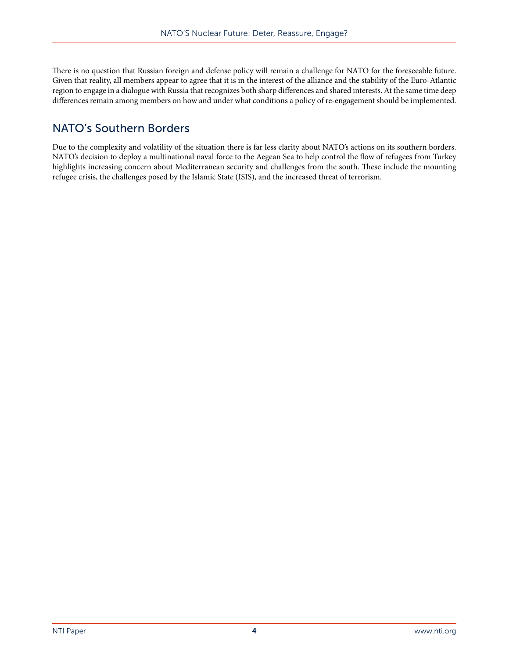There is no question that Russian foreign and defense policy will remain a challenge for NATO for the foreseeable future. Given that reality, all members appear to agree that it is in the interest of the alliance and the stability of the Euro-Atlantic region to engage in a dialogue with Russia that recognizes both sharp differences and shared interests. At the same time deep differences remain among members on how and under what conditions a policy of re-engagement should be implemented.

#### NATO's Southern Borders

Due to the complexity and volatility of the situation there is far less clarity about NATO's actions on its southern borders. NATO's decision to deploy a multinational naval force to the Aegean Sea to help control the flow of refugees from Turkey highlights increasing concern about Mediterranean security and challenges from the south. These include the mounting refugee crisis, the challenges posed by the Islamic State (ISIS), and the increased threat of terrorism.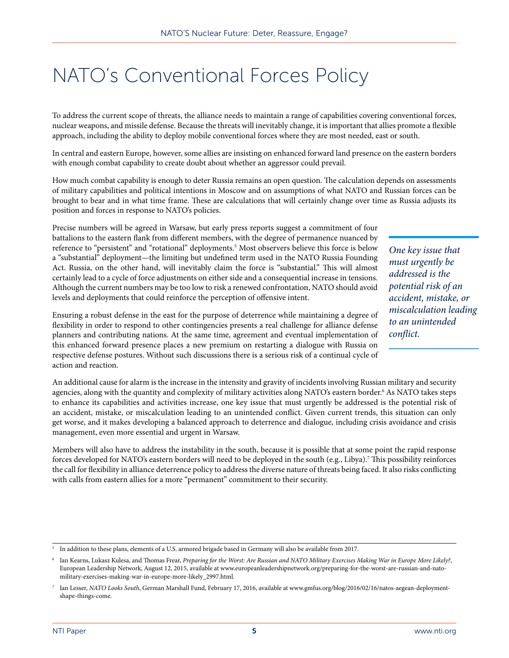### NATO's Conventional Forces Policy

To address the current scope of threats, the alliance needs to maintain a range of capabilities covering conventional forces, nuclear weapons, and missile defense. Because the threats will inevitably change, it is important that allies promote a flexible approach, including the ability to deploy mobile conventional forces where they are most needed, east or south.

In central and eastern Europe, however, some allies are insisting on enhanced forward land presence on the eastern borders with enough combat capability to create doubt about whether an aggressor could prevail.

How much combat capability is enough to deter Russia remains an open question. The calculation depends on assessments of military capabilities and political intentions in Moscow and on assumptions of what NATO and Russian forces can be brought to bear and in what time frame. These are calculations that will certainly change over time as Russia adjusts its position and forces in response to NATO's policies.

Precise numbers will be agreed in Warsaw, but early press reports suggest a commitment of four battalions to the eastern flank from different members, with the degree of permanence nuanced by reference to "persistent" and "rotational" deployments.<sup>5</sup> Most observers believe this force is below a "substantial" deployment—the limiting but undefined term used in the NATO Russia Founding Act. Russia, on the other hand, will inevitably claim the force is "substantial." This will almost certainly lead to a cycle of force adjustments on either side and a consequential increase in tensions. Although the current numbers may be too low to risk a renewed confrontation, NATO should avoid levels and deployments that could reinforce the perception of offensive intent.

*One key issue that must urgently be addressed is the potential risk of an accident, mistake, or miscalculation leading to an unintended conflict.*

Ensuring a robust defense in the east for the purpose of deterrence while maintaining a degree of flexibility in order to respond to other contingencies presents a real challenge for alliance defense planners and contributing nations. At the same time, agreement and eventual implementation of this enhanced forward presence places a new premium on restarting a dialogue with Russia on respective defense postures. Without such discussions there is a serious risk of a continual cycle of action and reaction.

An additional cause for alarm is the increase in the intensity and gravity of incidents involving Russian military and security agencies, along with the quantity and complexity of military activities along NATO's eastern border.<sup>6</sup> As NATO takes steps to enhance its capabilities and activities increase, one key issue that must urgently be addressed is the potential risk of an accident, mistake, or miscalculation leading to an unintended conflict. Given current trends, this situation can only get worse, and it makes developing a balanced approach to deterrence and dialogue, including crisis avoidance and crisis management, even more essential and urgent in Warsaw.

Members will also have to address the instability in the south, because it is possible that at some point the rapid response forces developed for NATO's eastern borders will need to be deployed in the south (e.g., Libya).7 This possibility reinforces the call for flexibility in alliance deterrence policy to address the diverse nature of threats being faced. It also risks conflicting with calls from eastern allies for a more "permanent" commitment to their security.

<sup>5</sup> In addition to these plans, elements of a U.S. armored brigade based in Germany will also be available from 2017.

<sup>6</sup> Ian Kearns, Lukasz Kulesa, and Thomas Frear, *Preparing for the Worst: Are Russian and NATO Military Exercises Making War in Europe More Likely?*, European Leadership Network, August 12, 2015, available at [www.europeanleadershipnetwork.org/preparing-for-the-worst-are-russian-and-nato](http://www.europeanleadershipnetwork.org/preparing-for-the-worst-are-russian-and-nato-military-exercises-making-war-in-europe-more-likely_2997.html)[military-exercises-making-war-in-europe-more-likely\\_2997.html](http://www.europeanleadershipnetwork.org/preparing-for-the-worst-are-russian-and-nato-military-exercises-making-war-in-europe-more-likely_2997.html).

<sup>7</sup> Ian Lesser, *NATO Looks South*, German Marshall Fund, February 17, 2016, available at [www.gmfus.org/blog/2016/02/16/natos-aegean-deployment](www.gmfus.org/blog/2016/02/16/natos-aegean-deployment-shape-things-come)[shape-things-come.](www.gmfus.org/blog/2016/02/16/natos-aegean-deployment-shape-things-come)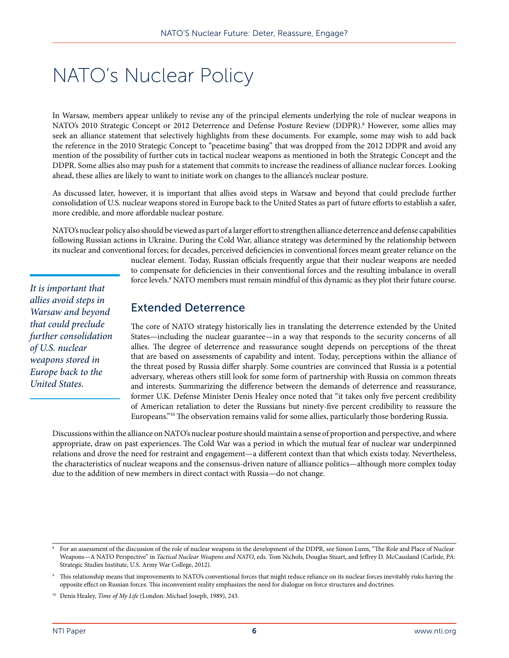## NATO's Nuclear Policy

In Warsaw, members appear unlikely to revise any of the principal elements underlying the role of nuclear weapons in NATO's 2010 Strategic Concept or 2012 Deterrence and Defense Posture Review (DDPR).8 However, some allies may seek an alliance statement that selectively highlights from these documents. For example, some may wish to add back the reference in the 2010 Strategic Concept to "peacetime basing" that was dropped from the 2012 DDPR and avoid any mention of the possibility of further cuts in tactical nuclear weapons as mentioned in both the Strategic Concept and the DDPR. Some allies also may push for a statement that commits to increase the readiness of alliance nuclear forces. Looking ahead, these allies are likely to want to initiate work on changes to the alliance's nuclear posture.

As discussed later, however, it is important that allies avoid steps in Warsaw and beyond that could preclude further consolidation of U.S. nuclear weapons stored in Europe back to the United States as part of future efforts to establish a safer, more credible, and more affordable nuclear posture.

NATO's nuclear policy also should be viewed as part of a larger effort to strengthen alliance deterrence and defense capabilities following Russian actions in Ukraine. During the Cold War, alliance strategy was determined by the relationship between its nuclear and conventional forces; for decades, perceived deficiencies in conventional forces meant greater reliance on the

> nuclear element. Today, Russian officials frequently argue that their nuclear weapons are needed to compensate for deficiencies in their conventional forces and the resulting imbalance in overall force levels.<sup>9</sup> NATO members must remain mindful of this dynamic as they plot their future course.

Extended Deterrence

The core of NATO strategy historically lies in translating the deterrence extended by the United States—including the nuclear guarantee—in a way that responds to the security concerns of all allies. The degree of deterrence and reassurance sought depends on perceptions of the threat that are based on assessments of capability and intent. Today, perceptions within the alliance of the threat posed by Russia differ sharply. Some countries are convinced that Russia is a potential adversary, whereas others still look for some form of partnership with Russia on common threats and interests. Summarizing the difference between the demands of deterrence and reassurance, former U.K. Defense Minister Denis Healey once noted that "it takes only five percent credibility of American retaliation to deter the Russians but ninety-five percent credibility to reassure the Europeans."10 The observation remains valid for some allies, particularly those bordering Russia.

Discussions within the alliance on NATO's nuclear posture should maintain a sense of proportion and perspective, and where appropriate, draw on past experiences. The Cold War was a period in which the mutual fear of nuclear war underpinned relations and drove the need for restraint and engagement—a different context than that which exists today. Nevertheless, the characteristics of nuclear weapons and the consensus-driven nature of alliance politics—although more complex today due to the addition of new members in direct contact with Russia—do not change.

*It is important that allies avoid steps in Warsaw and beyond that could preclude further consolidation* 

*of U.S. nuclear weapons stored in Europe back to the United States.*

<sup>8</sup> For an assessment of the discussion of the role of nuclear weapons in the development of the DDPR, see Simon Lunn, "The Role and Place of Nuclear Weapons—A NATO Perspective" in *Tactical Nuclear Weapons and NATO*, eds. Tom Nichols, Douglas Stuart, and Jeffrey D. McCausland (Carlisle, PA: Strategic Studies Institute, U.S. Army War College, 2012).

This relationship means that improvements to NATO's conventional forces that might reduce reliance on its nuclear forces inevitably risks having the opposite effect on Russian forces. This inconvenient reality emphasizes the need for dialogue on force structures and doctrines.

<sup>10</sup> Denis Healey, *Time of My Life* (London: Michael Joseph, 1989), 243.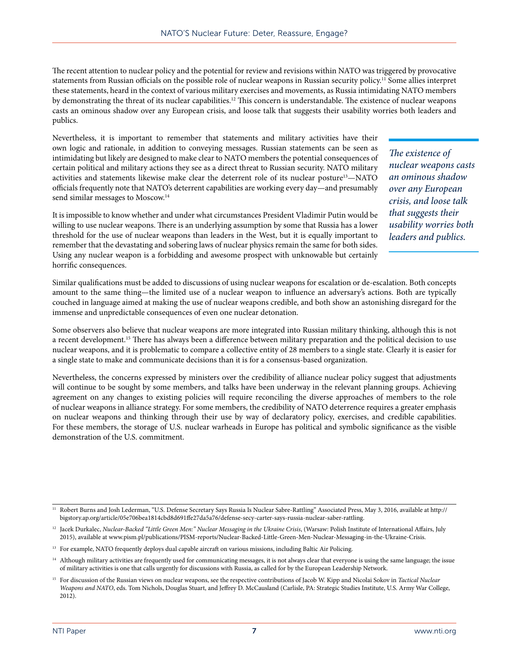The recent attention to nuclear policy and the potential for review and revisions within NATO was triggered by provocative statements from Russian officials on the possible role of nuclear weapons in Russian security policy.11 Some allies interpret these statements, heard in the context of various military exercises and movements, as Russia intimidating NATO members by demonstrating the threat of its nuclear capabilities.<sup>12</sup> This concern is understandable. The existence of nuclear weapons casts an ominous shadow over any European crisis, and loose talk that suggests their usability worries both leaders and publics.

Nevertheless, it is important to remember that statements and military activities have their own logic and rationale, in addition to conveying messages. Russian statements can be seen as intimidating but likely are designed to make clear to NATO members the potential consequences of certain political and military actions they see as a direct threat to Russian security. NATO military activities and statements likewise make clear the deterrent role of its nuclear posture<sup>13</sup>-NATO officials frequently note that NATO's deterrent capabilities are working every day—and presumably send similar messages to Moscow.<sup>14</sup>

It is impossible to know whether and under what circumstances President Vladimir Putin would be willing to use nuclear weapons. There is an underlying assumption by some that Russia has a lower threshold for the use of nuclear weapons than leaders in the West, but it is equally important to remember that the devastating and sobering laws of nuclear physics remain the same for both sides. Using any nuclear weapon is a forbidding and awesome prospect with unknowable but certainly horrific consequences.

*The existence of nuclear weapons casts an ominous shadow over any European crisis, and loose talk that suggests their usability worries both leaders and publics.*

Similar qualifications must be added to discussions of using nuclear weapons for escalation or de-escalation. Both concepts amount to the same thing—the limited use of a nuclear weapon to influence an adversary's actions. Both are typically couched in language aimed at making the use of nuclear weapons credible, and both show an astonishing disregard for the immense and unpredictable consequences of even one nuclear detonation.

Some observers also believe that nuclear weapons are more integrated into Russian military thinking, although this is not a recent development.<sup>15</sup> There has always been a difference between military preparation and the political decision to use nuclear weapons, and it is problematic to compare a collective entity of 28 members to a single state. Clearly it is easier for a single state to make and communicate decisions than it is for a consensus-based organization.

Nevertheless, the concerns expressed by ministers over the credibility of alliance nuclear policy suggest that adjustments will continue to be sought by some members, and talks have been underway in the relevant planning groups. Achieving agreement on any changes to existing policies will require reconciling the diverse approaches of members to the role of nuclear weapons in alliance strategy. For some members, the credibility of NATO deterrence requires a greater emphasis on nuclear weapons and thinking through their use by way of declaratory policy, exercises, and credible capabilities. For these members, the storage of U.S. nuclear warheads in Europe has political and symbolic significance as the visible demonstration of the U.S. commitment.

<sup>11</sup> Robert Burns and Josh Lederman, "U.S. Defense Secretary Says Russia Is Nuclear Sabre-Rattling" Associated Press, May 3, 2016, available at [http://](http://bigstory.ap.org/article/05e706bea1814cbd8d691ffe27da5a76/defense-secy-carter-says-russia-nuclear-saber-rattling) [bigstory.ap.org/article/05e706bea1814cbd8d691ffe27da5a76/defense-secy-carter-says-russia-nuclear-saber-rattling.](http://bigstory.ap.org/article/05e706bea1814cbd8d691ffe27da5a76/defense-secy-carter-says-russia-nuclear-saber-rattling)

<sup>&</sup>lt;sup>12</sup> Jacek Durkalec, Nuclear-Backed "Little Green Men:" Nuclear Messaging in the Ukraine Crisis, (Warsaw: Polish Institute of International Affairs, July 2015), available at www.pism.pl/publications/PISM-reports/Nuclear-Backed-Little-Green-Men-Nuclear-Messaging-in-the-Ukraine-Crisis.

<sup>&</sup>lt;sup>13</sup> For example, NATO frequently deploys dual capable aircraft on various missions, including Baltic Air Policing.

<sup>&</sup>lt;sup>14</sup> Although military activities are frequently used for communicating messages, it is not always clear that everyone is using the same language; the issue of military activities is one that calls urgently for discussions with Russia, as called for by the European Leadership Network.

<sup>15</sup> For discussion of the Russian views on nuclear weapons, see the respective contributions of Jacob W. Kipp and Nicolai Sokov in *Tactical Nuclear Weapons and NATO*, eds. Tom Nichols, Douglas Stuart, and Jeffrey D. McCausland (Carlisle, PA: Strategic Studies Institute, U.S. Army War College, 2012).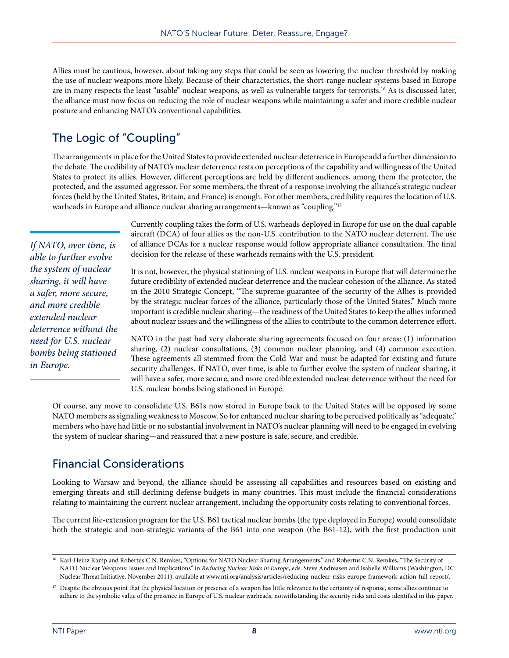Allies must be cautious, however, about taking any steps that could be seen as lowering the nuclear threshold by making the use of nuclear weapons more likely. Because of their characteristics, the short-range nuclear systems based in Europe are in many respects the least "usable" nuclear weapons, as well as vulnerable targets for terrorists.16 As is discussed later, the alliance must now focus on reducing the role of nuclear weapons while maintaining a safer and more credible nuclear posture and enhancing NATO's conventional capabilities.

### The Logic of "Coupling"

The arrangements in place for the United States to provide extended nuclear deterrence in Europe add a further dimension to the debate. The credibility of NATO's nuclear deterrence rests on perceptions of the capability and willingness of the United States to protect its allies. However, different perceptions are held by different audiences, among them the protector, the protected, and the assumed aggressor. For some members, the threat of a response involving the alliance's strategic nuclear forces (held by the United States, Britain, and France) is enough. For other members, credibility requires the location of U.S. warheads in Europe and alliance nuclear sharing arrangements—known as "coupling."<sup>17</sup>

*If NATO, over time, is able to further evolve the system of nuclear sharing, it will have a safer, more secure, and more credible extended nuclear deterrence without the need for U.S. nuclear bombs being stationed in Europe.*

Currently coupling takes the form of U.S. warheads deployed in Europe for use on the dual capable aircraft (DCA) of four allies as the non-U.S. contribution to the NATO nuclear deterrent. The use of alliance DCAs for a nuclear response would follow appropriate alliance consultation. The final decision for the release of these warheads remains with the U.S. president.

It is not, however, the physical stationing of U.S. nuclear weapons in Europe that will determine the future credibility of extended nuclear deterrence and the nuclear cohesion of the alliance. As stated in the 2010 Strategic Concept, "The supreme guarantee of the security of the Allies is provided by the strategic nuclear forces of the alliance, particularly those of the United States." Much more important is credible nuclear sharing—the readiness of the United States to keep the allies informed about nuclear issues and the willingness of the allies to contribute to the common deterrence effort.

NATO in the past had very elaborate sharing agreements focused on four areas: (1) information sharing, (2) nuclear consultations, (3) common nuclear planning, and (4) common execution. These agreements all stemmed from the Cold War and must be adapted for existing and future security challenges. If NATO, over time, is able to further evolve the system of nuclear sharing, it will have a safer, more secure, and more credible extended nuclear deterrence without the need for U.S. nuclear bombs being stationed in Europe.

Of course, any move to consolidate U.S. B61s now stored in Europe back to the United States will be opposed by some NATO members as signaling weakness to Moscow. So for enhanced nuclear sharing to be perceived politically as "adequate," members who have had little or no substantial involvement in NATO's nuclear planning will need to be engaged in evolving the system of nuclear sharing—and reassured that a new posture is safe, secure, and credible.

#### Financial Considerations

Looking to Warsaw and beyond, the alliance should be assessing all capabilities and resources based on existing and emerging threats and still-declining defense budgets in many countries. This must include the financial considerations relating to maintaining the current nuclear arrangement, including the opportunity costs relating to conventional forces.

The current life-extension program for the U.S. B61 tactical nuclear bombs (the type deployed in Europe) would consolidate both the strategic and non-strategic variants of the B61 into one weapon (the B61-12), with the first production unit

<sup>&</sup>lt;sup>16</sup> Karl-Heinz Kamp and Robertus C.N. Remkes, "Options for NATO Nuclear Sharing Arrangements," and Robertus C.N. Remkes, "The Security of NATO Nuclear Weapons: Issues and Implications" in *Reducing Nuclear Risks in Europe*, eds. Steve Andreasen and Isabelle Williams (Washington, DC: Nuclear Threat Initiative, November 2011), available at <www.nti.org/analysis/articles/reducing-nuclear-risks-europe-framework-action-full-report>/.

<sup>17</sup> Despite the obvious point that the physical location or presence of a weapon has little relevance to the certainty of response, some allies continue to adhere to the symbolic value of the presence in Europe of U.S. nuclear warheads, notwithstanding the security risks and costs identified in this paper.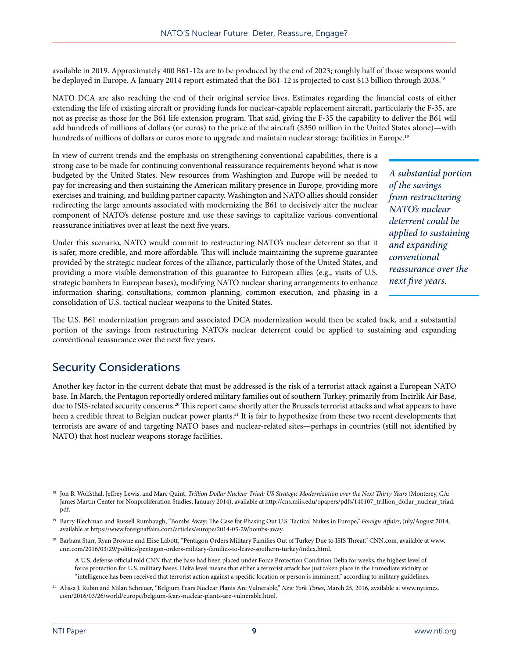available in 2019. Approximately 400 B61-12s are to be produced by the end of 2023; roughly half of those weapons would be deployed in Europe. A January 2014 report estimated that the B61-12 is projected to cost \$13 billion through 2038.<sup>18</sup>

NATO DCA are also reaching the end of their original service lives. Estimates regarding the financial costs of either extending the life of existing aircraft or providing funds for nuclear-capable replacement aircraft, particularly the F-35, are not as precise as those for the B61 life extension program. That said, giving the F-35 the capability to deliver the B61 will add hundreds of millions of dollars (or euros) to the price of the aircraft (\$350 million in the United States alone)—with hundreds of millions of dollars or euros more to upgrade and maintain nuclear storage facilities in Europe.<sup>19</sup>

In view of current trends and the emphasis on strengthening conventional capabilities, there is a strong case to be made for continuing conventional reassurance requirements beyond what is now budgeted by the United States. New resources from Washington and Europe will be needed to pay for increasing and then sustaining the American military presence in Europe, providing more exercises and training, and building partner capacity. Washington and NATO allies should consider redirecting the large amounts associated with modernizing the B61 to decisively alter the nuclear component of NATO's defense posture and use these savings to capitalize various conventional reassurance initiatives over at least the next five years.

Under this scenario, NATO would commit to restructuring NATO's nuclear deterrent so that it is safer, more credible, and more affordable. This will include maintaining the supreme guarantee provided by the strategic nuclear forces of the alliance, particularly those of the United States, and providing a more visible demonstration of this guarantee to European allies (e.g., visits of U.S. strategic bombers to European bases), modifying NATO nuclear sharing arrangements to enhance information sharing, consultations, common planning, common execution, and phasing in a consolidation of U.S. tactical nuclear weapons to the United States.

*A substantial portion of the savings from restructuring NATO's nuclear deterrent could be applied to sustaining and expanding conventional reassurance over the next five years.*

The U.S. B61 modernization program and associated DCA modernization would then be scaled back, and a substantial portion of the savings from restructuring NATO's nuclear deterrent could be applied to sustaining and expanding conventional reassurance over the next five years.

#### Security Considerations

Another key factor in the current debate that must be addressed is the risk of a terrorist attack against a European NATO base. In March, the Pentagon reportedly ordered military families out of southern Turkey, primarily from Incirlik Air Base, due to ISIS-related security concerns.<sup>20</sup> This report came shortly after the Brussels terrorist attacks and what appears to have been a credible threat to Belgian nuclear power plants.21 It is fair to hypothesize from these two recent developments that terrorists are aware of and targeting NATO bases and nuclear-related sites—perhaps in countries (still not identified by NATO) that host nuclear weapons storage facilities.

<sup>18</sup> Jon B. Wolfsthal, Jeffrey Lewis, and Marc Quint, *Trillion Dollar Nuclear Triad: US Strategic Modernization over the Next Thirty Years* (Monterey, CA: James Martin Center for Nonproliferation Studies, January 2014), available at [http://cns.miis.edu/opapers/pdfs/140107\\_trillion\\_dollar\\_nuclear\\_triad.](http://cns.miis.edu/opapers/pdfs/140107_trillion_dollar_nuclear_triad.pdf) [pdf.](http://cns.miis.edu/opapers/pdfs/140107_trillion_dollar_nuclear_triad.pdf)

<sup>19</sup> Barry Blechman and Russell Rumbaugh, "Bombs Away: The Case for Phasing Out U.S. Tactical Nukes in Europe," *Foreign Affairs*, July/August 2014, available at [https://www.foreignaffairs.com/articles/europe/2014-05-29/bombs-away.](https://www.foreignaffairs.com/articles/europe/2014-05-29/bombs-away)

<sup>20</sup> Barbara Starr, Ryan Browne and Elise Labott, "Pentagon Orders Military Families Out of Turkey Due to ISIS Threat," CNN.com, available at [www.](http://www.cnn.com/2016/03/29/politics/pentagon-orders-military-families-to-leave-southern-turkey/index.html) [cnn.com/2016/03/29/politics/pentagon-orders-military-families-to-leave-southern-turkey/index.html.](http://www.cnn.com/2016/03/29/politics/pentagon-orders-military-families-to-leave-southern-turkey/index.html)

A U.S. defense official told CNN that the base had been placed under Force Protection Condition Delta for weeks, the highest level of force protection for U.S. military bases. Delta level means that either a terrorist attack has just taken place in the immediate vicinity or "intelligence has been received that terrorist action against a specific location or person is imminent," according to military guidelines.

<sup>21</sup> Alissa J. Rubin and Milan Schreuer, "Belgium Fears Nuclear Plants Are Vulnerable," *New York Times*, March 25, 2016, available at [www.nytimes.](http://www.nytimes.com/2016/03/26/world/europe/belgium-fears-nuclear-plants-are-vulnerable.html) [com/2016/03/26/world/europe/belgium-fears-nuclear-plants-are-vulnerable.html.](http://www.nytimes.com/2016/03/26/world/europe/belgium-fears-nuclear-plants-are-vulnerable.html)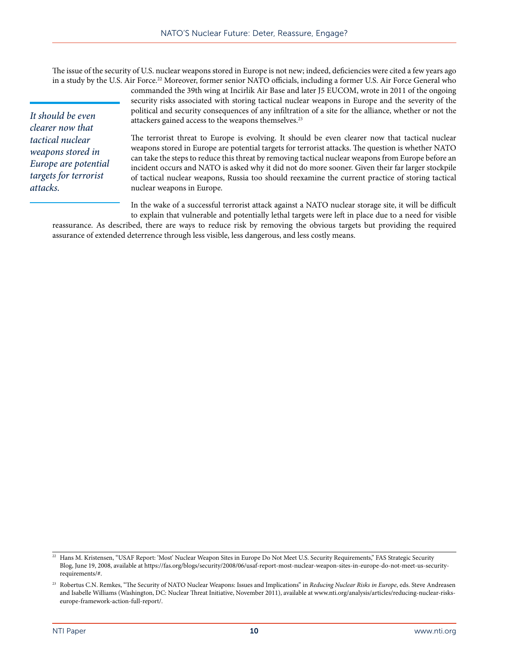The issue of the security of U.S. nuclear weapons stored in Europe is not new; indeed, deficiencies were cited a few years ago in a study by the U.S. Air Force.<sup>22</sup> Moreover, former senior NATO officials, including a former U.S. Air Force General who

assurance of extended deterrence through less visible, less dangerous, and less costly means.

*It should be even clearer now that tactical nuclear weapons stored in Europe are potential targets for terrorist attacks.*

commanded the 39th wing at Incirlik Air Base and later J5 EUCOM, wrote in 2011 of the ongoing security risks associated with storing tactical nuclear weapons in Europe and the severity of the political and security consequences of any infiltration of a site for the alliance, whether or not the attackers gained access to the weapons themselves.23

The terrorist threat to Europe is evolving. It should be even clearer now that tactical nuclear weapons stored in Europe are potential targets for terrorist attacks. The question is whether NATO can take the steps to reduce this threat by removing tactical nuclear weapons from Europe before an incident occurs and NATO is asked why it did not do more sooner. Given their far larger stockpile of tactical nuclear weapons, Russia too should reexamine the current practice of storing tactical nuclear weapons in Europe.

In the wake of a successful terrorist attack against a NATO nuclear storage site, it will be difficult to explain that vulnerable and potentially lethal targets were left in place due to a need for visible reassurance. As described, there are ways to reduce risk by removing the obvious targets but providing the required

<sup>22</sup> Hans M. Kristensen, "USAF Report: 'Most' Nuclear Weapon Sites in Europe Do Not Meet U.S. Security Requirements," FAS Strategic Security Blog, June 19, 2008, available at [https://fas.org/blogs/security/2008/06/usaf-report-most-nuclear-weapon-sites-in-europe-do-not-meet-us-security](https://fas.org/blogs/security/2008/06/usaf-report-most-nuclear-weapon-sites-in-europe-do-not-meet-us-security-requirements/#)[requirements/#.](https://fas.org/blogs/security/2008/06/usaf-report-most-nuclear-weapon-sites-in-europe-do-not-meet-us-security-requirements/#)

<sup>&</sup>lt;sup>23</sup> Robertus C.N. Remkes, "The Security of NATO Nuclear Weapons: Issues and Implications" in *Reducing Nuclear Risks in Europe*, eds. Steve Andreasen and Isabelle Williams (Washington, DC: Nuclear Threat Initiative, November 2011), available at [www.nti.org/analysis/articles/reducing-nuclear-risks](www.nti.org/analysis/articles/reducing-nuclear-risks-europe-framework-action-full-report/)[europe-framework-action-full-report/](www.nti.org/analysis/articles/reducing-nuclear-risks-europe-framework-action-full-report/).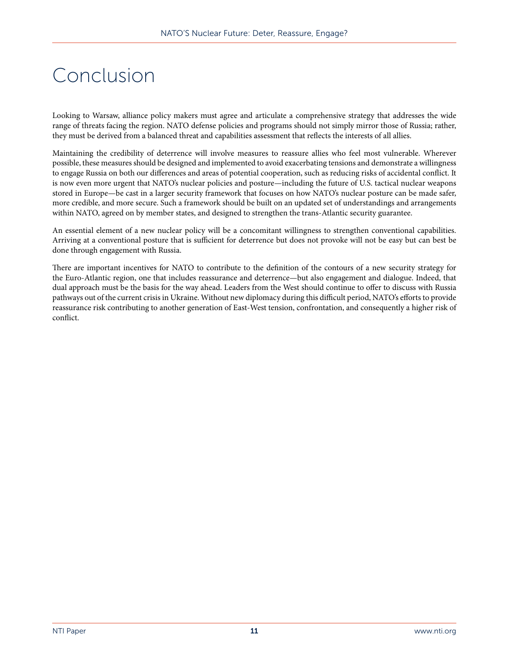### Conclusion

Looking to Warsaw, alliance policy makers must agree and articulate a comprehensive strategy that addresses the wide range of threats facing the region. NATO defense policies and programs should not simply mirror those of Russia; rather, they must be derived from a balanced threat and capabilities assessment that reflects the interests of all allies.

Maintaining the credibility of deterrence will involve measures to reassure allies who feel most vulnerable. Wherever possible, these measures should be designed and implemented to avoid exacerbating tensions and demonstrate a willingness to engage Russia on both our differences and areas of potential cooperation, such as reducing risks of accidental conflict. It is now even more urgent that NATO's nuclear policies and posture—including the future of U.S. tactical nuclear weapons stored in Europe—be cast in a larger security framework that focuses on how NATO's nuclear posture can be made safer, more credible, and more secure. Such a framework should be built on an updated set of understandings and arrangements within NATO, agreed on by member states, and designed to strengthen the trans-Atlantic security guarantee.

An essential element of a new nuclear policy will be a concomitant willingness to strengthen conventional capabilities. Arriving at a conventional posture that is sufficient for deterrence but does not provoke will not be easy but can best be done through engagement with Russia.

There are important incentives for NATO to contribute to the definition of the contours of a new security strategy for the Euro-Atlantic region, one that includes reassurance and deterrence—but also engagement and dialogue. Indeed, that dual approach must be the basis for the way ahead. Leaders from the West should continue to offer to discuss with Russia pathways out of the current crisis in Ukraine. Without new diplomacy during this difficult period, NATO's efforts to provide reassurance risk contributing to another generation of East-West tension, confrontation, and consequently a higher risk of conflict.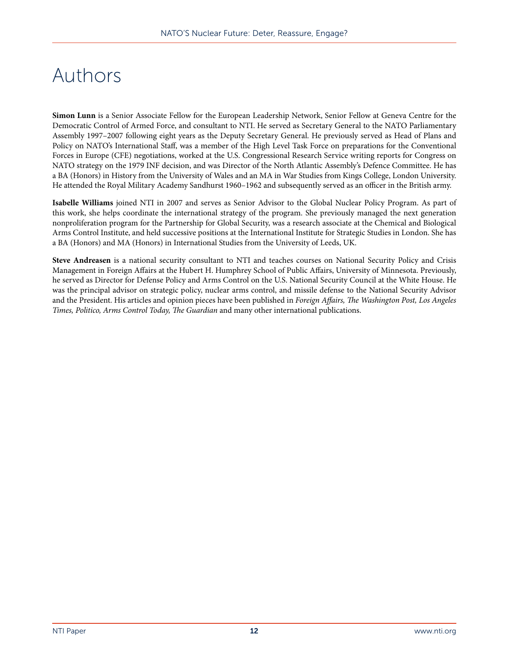### Authors

**Simon Lunn** is a Senior Associate Fellow for the European Leadership Network, Senior Fellow at Geneva Centre for the Democratic Control of Armed Force, and consultant to NTI. He served as Secretary General to the NATO Parliamentary Assembly 1997–2007 following eight years as the Deputy Secretary General. He previously served as Head of Plans and Policy on NATO's International Staff, was a member of the High Level Task Force on preparations for the Conventional Forces in Europe (CFE) negotiations, worked at the U.S. Congressional Research Service writing reports for Congress on NATO strategy on the 1979 INF decision, and was Director of the North Atlantic Assembly's Defence Committee. He has a BA (Honors) in History from the University of Wales and an MA in War Studies from Kings College, London University. He attended the Royal Military Academy Sandhurst 1960–1962 and subsequently served as an officer in the British army.

**Isabelle Williams** joined NTI in 2007 and serves as Senior Advisor to the Global Nuclear Policy Program. As part of this work, she helps coordinate the international strategy of the program. She previously managed the next generation nonproliferation program for the Partnership for Global Security, was a research associate at the Chemical and Biological Arms Control Institute, and held successive positions at the International Institute for Strategic Studies in London. She has a BA (Honors) and MA (Honors) in International Studies from the University of Leeds, UK.

**Steve Andreasen** is a national security consultant to NTI and teaches courses on National Security Policy and Crisis Management in Foreign Affairs at the Hubert H. Humphrey School of Public Affairs, University of Minnesota. Previously, he served as Director for Defense Policy and Arms Control on the U.S. National Security Council at the White House. He was the principal advisor on strategic policy, nuclear arms control, and missile defense to the National Security Advisor and the President. His articles and opinion pieces have been published in *Foreign Affairs, The Washington Post, Los Angeles Times, Politico, Arms Control Today, The Guardian* and many other international publications.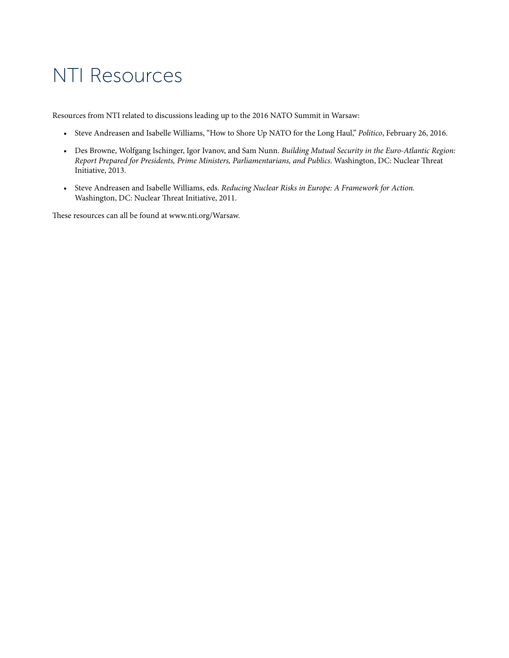### NTI Resources

Resources from NTI related to discussions leading up to the 2016 NATO Summit in Warsaw:

- Steve Andreasen and Isabelle Williams, "How to Shore Up NATO for the Long Haul," *Politico*, February 26, 2016.
- Des Browne, Wolfgang Ischinger, Igor Ivanov, and Sam Nunn. *Building Mutual Security in the Euro-Atlantic Region: Report Prepared for Presidents, Prime Ministers, Parliamentarians, and Publics*. Washington, DC: Nuclear Threat Initiative, 2013.
- Steve Andreasen and Isabelle Williams, eds. *Reducing Nuclear Risks in Europe: A Framework for Action.*  Washington, DC: Nuclear Threat Initiative, 2011.

These resources can all be found at<www.nti.org/Warsaw>.